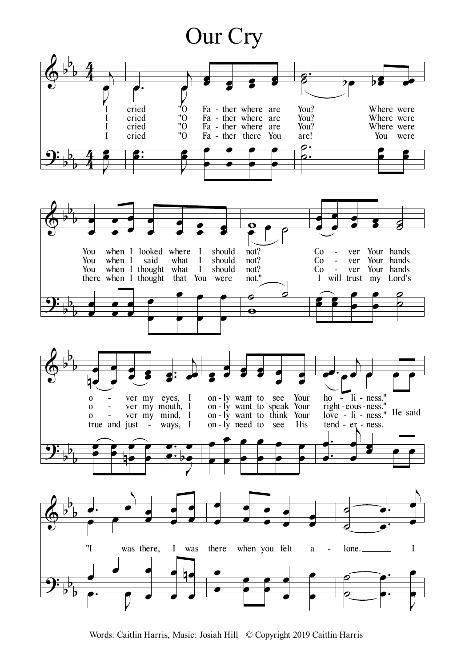## Our Cry



Words: Caitlin Harris, Music: Josiah Hill © Copyright 2019 Caitlin Harris